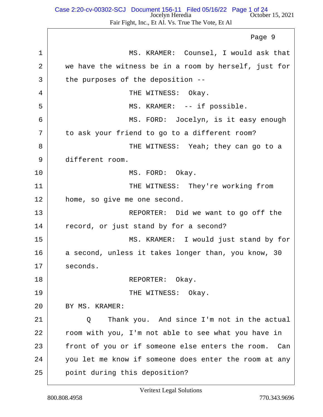| 1  | MS. KRAMER: Counsel, I would ask that                   |
|----|---------------------------------------------------------|
| 2  | we have the witness be in a room by herself, just for   |
| 3  | the purposes of the deposition --                       |
| 4  | THE WITNESS: Okay.                                      |
| 5  | MS. KRAMER: -- if possible.                             |
| 6  | MS. FORD: Jocelyn, is it easy enough                    |
| 7  | to ask your friend to go to a different room?           |
| 8  | THE WITNESS: Yeah; they can go to a                     |
| 9  | different room.                                         |
| 10 | MS. FORD: Okay.                                         |
| 11 | THE WITNESS: They're working from                       |
| 12 | home, so give me one second.                            |
| 13 | REPORTER: Did we want to go off the                     |
| 14 | record, or just stand by for a second?                  |
| 15 | MS. KRAMER: I would just stand by for                   |
| 16 | a second, unless it takes longer than, you know, 30     |
| 17 | seconds.                                                |
| 18 | REPORTER: Okay.                                         |
| 19 | THE WITNESS: Okay.                                      |
| 20 | BY MS. KRAMER:                                          |
| 21 | Thank you. And since I'm not in the actual<br>Q         |
| 22 | room with you, I'm not able to see what you have in     |
| 23 | front of you or if someone else enters the room.<br>Can |
| 24 | you let me know if someone does enter the room at any   |
| 25 | point during this deposition?                           |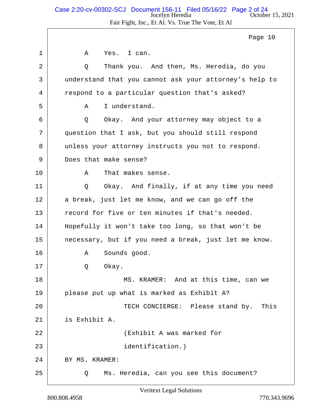#### Jocelyn Heredia October 15, 2021 Fair Fight, Inc., Et Al. Vs. True The Vote, Et Al Case 2:20-cv-00302-SCJ Document 156-11 Filed 05/16/22 Page 2 of 24

1 A Yes. I can. 2 Q Thank you. And then, Ms. Heredia, do you 3 understand that you cannot ask your attorney's help to 4 respond to a particular question that's asked? 5 | A I understand. 6 Q Okay. And your attorney may object to a 7 question that I ask, but you should still respond 8 unless your attorney instructs you not to respond. 9 Does that make sense? 10 A That makes sense. 11 | Q Okay. And finally, if at any time you need 12 a break, just let me know, and we can go off the 13 record for five or ten minutes if that's needed. 14 Hopefully it won't take too long, so that won't be 15 necessary, but if you need a break, just let me know. 16 A Sounds good. 17 Q Okay. 18 MS. KRAMER: And at this time, can we 19 please put up what is marked as Exhibit A? 20 TECH CONCIERGE: Please stand by. This 21 is Exhibit A. 22 (Exhibit A was marked for 23 identification.) 24 BY MS. KRAMER: 25 Q Ms. Heredia, can you see this document? Page 10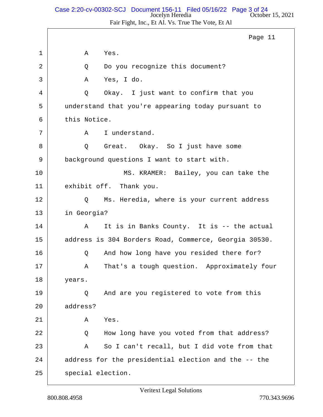## Jocelyn Heredia October 15, 2021 Case 2:20-cv-00302-SCJ Document 156-11 Filed 05/16/22 Page 3 of 24

Fair Fight, Inc., Et Al. Vs. True The Vote, Et Al

1 A Yes. 2 Q Do you recognize this document? 3 A Yes, I do. 4 Q Okay. I just want to confirm that you 5 understand that you're appearing today pursuant to 6 this Notice. 7 | A I understand. 8 | Q Great. Okay. So I just have some 9 background questions I want to start with. 10 MS. KRAMER: Bailey, you can take the 11 exhibit off. Thank you. 12 Q Ms. Heredia, where is your current address 13 in Georgia? 14 A It is in Banks County. It is -- the actual 15 address is 304 Borders Road, Commerce, Georgia 30530. 16 Q And how long have you resided there for? 17 | A That's a tough question. Approximately four 18 years. 19 O And are you registered to vote from this 20 address?  $21$   $\lambda$  Yes. 22 Q How long have you voted from that address? 23 A So I can't recall, but I did vote from that 24 address for the presidential election and the -- the 25 | special election. Page 11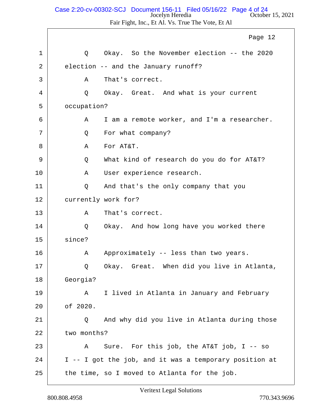#### Jocelyn Heredia October 15, 2021 Case 2:20-cv-00302-SCJ Document 156-11 Filed 05/16/22 Page 4 of 24

Fair Fight, Inc., Et Al. Vs. True The Vote, Et Al

1 1 O Okay. So the November election -- the 2020 2 election -- and the January runoff? 3 A That's correct. 4 Q Okay. Great. And what is your current 5 occupation? 6 A I am a remote worker, and I'm a researcher. 7 | Q For what company? 8 A For AT&T. 9 Q What kind of research do you do for AT&T? 10 | A User experience research. 11 Q And that's the only company that you 12 currently work for? 13 A That's correct. 14 O Okay. And how long have you worked there 15 since? 16 A Approximately -- less than two years. 17 | Q Okay. Great. When did you live in Atlanta, 18 Georgia? 19 A I lived in Atlanta in January and February 20 of 2020. 21 Q And why did you live in Atlanta during those 22 two months? 23 A Sure. For this job, the AT&T job, I -- so  $24$  | I -- I got the job, and it was a temporary position at  $25$  the time, so I moved to Atlanta for the job. Page 12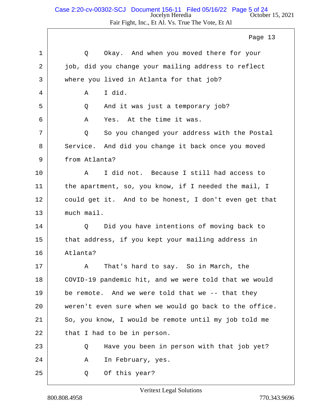Fair Fight, Inc., Et Al. Vs. True The Vote, Et Al

1 1 O Okay. And when you moved there for your 2 job, did you change your mailing address to reflect 3 where you lived in Atlanta for that job? 4 A I did. 5 Q And it was just a temporary job? 6 A Yes. At the time it was. 7 | Q So you changed your address with the Postal 8 Service. And did you change it back once you moved 9 from Atlanta? 10 A I did not. Because I still had access to 11 the apartment, so, you know, if I needed the mail, I 12 could get it. And to be honest, I don't even get that 13 much mail. 14 O Did you have intentions of moving back to 15 that address, if you kept your mailing address in 16 Atlanta? 17 A That's hard to say. So in March, the 18 COVID-19 pandemic hit, and we were told that we would  $19$  be remote. And we were told that we -- that they 20 weren't even sure when we would go back to the office. 21 So, you know, I would be remote until my job told me  $22$  that I had to be in person. 23 Q Have you been in person with that job yet? 24 A In February, yes. 25 Q Of this year? Page 13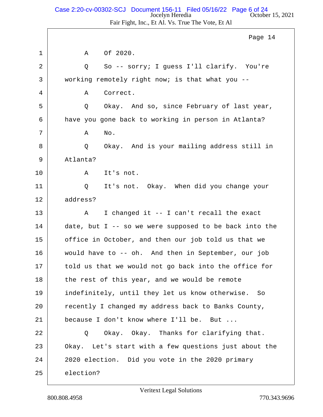# Jocelyn Heredia October 15, 2021 Case 2:20-cv-00302-SCJ Document 156-11 Filed 05/16/22 Page 6 of 24

Fair Fight, Inc., Et Al. Vs. True The Vote, Et Al

|    | Page 14                                                |
|----|--------------------------------------------------------|
| 1  | Of 2020.<br>Α                                          |
| 2  | So -- sorry; I guess I'll clarify. You're<br>Q         |
| 3  | working remotely right now; is that what you --        |
| 4  | Correct.<br>Α                                          |
| 5  | Okay. And so, since February of last year,<br>Q        |
| 6  | have you gone back to working in person in Atlanta?    |
| 7  | No.<br>Α                                               |
| 8  | Okay. And is your mailing address still in<br>Q        |
| 9  | Atlanta?                                               |
| 10 | It's not.<br>Α                                         |
| 11 | It's not. Okay. When did you change your<br>Q          |
| 12 | address?                                               |
| 13 | I changed it -- I can't recall the exact<br>Α          |
| 14 | date, but I -- so we were supposed to be back into the |
| 15 | office in October, and then our job told us that we    |
| 16 | would have to -- oh. And then in September, our job    |
| 17 | told us that we would not go back into the office for  |
| 18 | the rest of this year, and we would be remote          |
| 19 | indefinitely, until they let us know otherwise. So     |
| 20 | recently I changed my address back to Banks County,    |
| 21 | because I don't know where I'll be. But                |
| 22 | Okay. Okay. Thanks for clarifying that.<br>Q           |
| 23 | Okay. Let's start with a few questions just about the  |
| 24 | 2020 election. Did you vote in the 2020 primary        |
| 25 | election?                                              |

 $\lceil$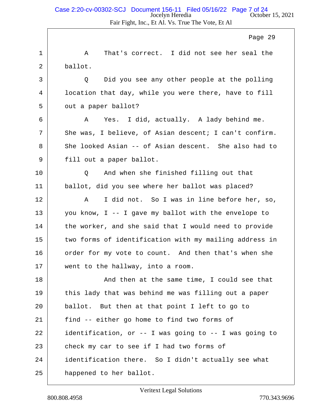1 A That's correct. I did not see her seal the 2 ballot. 3 Q Did you see any other people at the polling 4 location that day, while you were there, have to fill 5 out a paper ballot? 6 A Yes. I did, actually. A lady behind me. 7 She was, I believe, of Asian descent; I can't confirm. 8 She looked Asian -- of Asian descent. She also had to 9 | fill out a paper ballot. 10 Q And when she finished filling out that 11 ballot, did you see where her ballot was placed? 12 | A I did not. So I was in line before her, so, 13 you know, I -- I gave my ballot with the envelope to  $14$  the worker, and she said that I would need to provide 15 two forms of identification with my mailing address in 16 order for my vote to count. And then that's when she 17 went to the hallway, into a room. 18 | The Solomon at the same time, I could see that  $19$  this lady that was behind me was filling out a paper 20 ballot. But then at that point I left to go to 21 find -- either go home to find two forms of 22 identification, or -- I was going to -- I was going to 23 check my car to see if I had two forms of 24 identification there. So I didn't actually see what Page 29

25 happened to her ballot.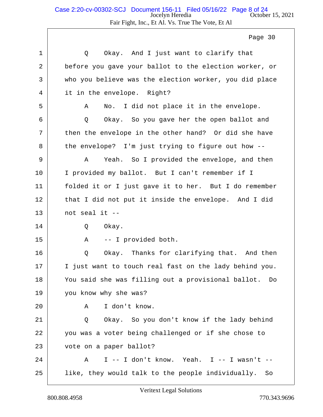| 1  | Okay. And I just want to clarify that<br>Q              |
|----|---------------------------------------------------------|
| 2  | before you gave your ballot to the election worker, or  |
| 3  | who you believe was the election worker, you did place  |
| 4  | it in the envelope. Right?                              |
| 5  | No. I did not place it in the envelope.<br>Α            |
| 6  | Okay. So you gave her the open ballot and<br>Q          |
| 7  | then the envelope in the other hand? Or did she have    |
| 8  | the envelope? I'm just trying to figure out how --      |
| 9  | Yeah. So I provided the envelope, and then<br>A         |
| 10 | I provided my ballot. But I can't remember if I         |
| 11 | folded it or I just gave it to her. But I do remember   |
| 12 | that I did not put it inside the envelope. And I did    |
| 13 | not seal it --                                          |
| 14 | Okay.<br>Q                                              |
| 15 | -- I provided both.<br>Α                                |
| 16 | Okay. Thanks for clarifying that. And then<br>Q         |
| 17 | I just want to touch real fast on the lady behind you.  |
| 18 | You said she was filling out a provisional ballot. Do   |
| 19 | you know why she was?                                   |
| 20 | I don't know.<br>Α                                      |
| 21 | Okay. So you don't know if the lady behind<br>Q         |
| 22 | you was a voter being challenged or if she chose to     |
| 23 | vote on a paper ballot?                                 |
| 24 | I -- I don't know. Yeah. I -- I wasn't --<br>Α          |
| 25 | like, they would talk to the people individually.<br>So |
|    |                                                         |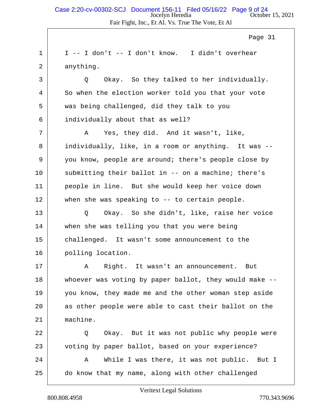$1 \vert$  I -- I don't -- I don't know. I didn't overhear 2 anything.

3 Q Okay. So they talked to her individually. 4 So when the election worker told you that your vote 5 was being challenged, did they talk to you 6 individually about that as well?

7 A Yes, they did. And it wasn't, like, 8 individually, like, in a room or anything. It was -- 9 you know, people are around; there's people close by 10 submitting their ballot in -- on a machine; there's 11 people in line. But she would keep her voice down 12 when she was speaking to -- to certain people.

13 Q Okay. So she didn't, like, raise her voice 14 when she was telling you that you were being 15 challenged. It wasn't some announcement to the 16 polling location.

17 | A Right. It wasn't an announcement. But 18 whoever was voting by paper ballot, they would make --19 you know, they made me and the other woman step aside 20 as other people were able to cast their ballot on the 21 machine.

22 Q Okay. But it was not public why people were 23 voting by paper ballot, based on your experience?

24 A While I was there, it was not public. But I 25 do know that my name, along with other challenged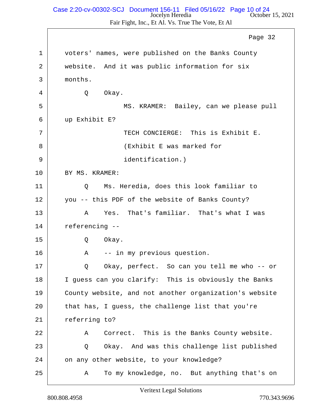#### Jocelyn Heredia October 15, 2021 Case 2:20-cv-00302-SCJ Document 156-11 Filed 05/16/22 Page 10 of 24

Fair Fight, Inc., Et Al. Vs. True The Vote, Et Al

1 voters' names, were published on the Banks County 2 website. And it was public information for six 3 months. 4 Q Okay. 5 MS. KRAMER: Bailey, can we please pull 6 up Exhibit E? 7 TECH CONCIERGE: This is Exhibit E. 8 | CREAR CONSTRUCTER WAS marked for 9 identification.) 10 BY MS. KRAMER: 11 Q Ms. Heredia, does this look familiar to 12 you -- this PDF of the website of Banks County? 13 A Yes. That's familiar. That's what I was 14 referencing -- 15 Q Okay. 16 | R -- in my previous question. 17 | Q Okay, perfect. So can you tell me who -- or 18 I guess can you clarify: This is obviously the Banks 19 County website, and not another organization's website 20 that has, I guess, the challenge list that you're 21 referring to? 22 A Correct. This is the Banks County website. 23 Q Okay. And was this challenge list published 24 on any other website, to your knowledge? 25 A To my knowledge, no. But anything that's on Page 32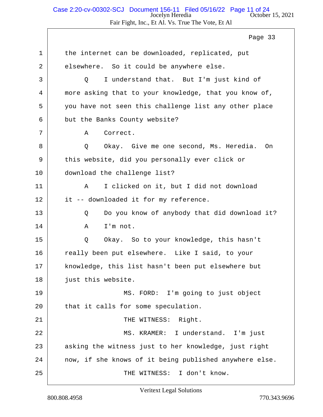#### Jocelyn Heredia **October 15, 2021** Fair Fight, Inc., Et Al. Vs. True The Vote, Et Al Case 2:20-cv-00302-SCJ Document 156-11 Filed 05/16/22 Page 11 of 24

1 the internet can be downloaded, replicated, put 2 elsewhere. So it could be anywhere else. 3 Q I understand that. But I'm just kind of 4 more asking that to your knowledge, that you know of, 5 you have not seen this challenge list any other place 6 but the Banks County website? 7 | A Correct. 8 | Q Okay. Give me one second, Ms. Heredia. On 9 this website, did you personally ever click or 10 download the challenge list? 11 A I clicked on it, but I did not download 12 it -- downloaded it for my reference. 13 Q Do you know of anybody that did download it? 14 | A I'm not. 15 Q Okay. So to your knowledge, this hasn't 16 really been put elsewhere. Like I said, to your 17 | knowledge, this list hasn't been put elsewhere but 18 just this website. 19 MS. FORD: I'm going to just object 20 that it calls for some speculation. 21 | THE WITNESS: Right. 22 MS. KRAMER: I understand. I'm just 23 asking the witness just to her knowledge, just right  $24$  now, if she knows of it being published anywhere else. 25 | THE WITNESS: I don't know. Page 33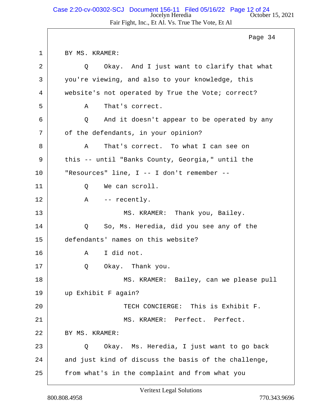### Jocelyn Heredia October 15, 2021 Fair Fight, Inc., Et Al. Vs. True The Vote, Et Al Case 2:20-cv-00302-SCJ Document 156-11 Filed 05/16/22 Page 12 of 24

1 BY MS. KRAMER: 2 Q Okay. And I just want to clarify that what 3 you're viewing, and also to your knowledge, this 4 website's not operated by True the Vote; correct? 5 A That's correct. 6 Q And it doesn't appear to be operated by any 7 of the defendants, in your opinion? 8 A That's correct. To what I can see on 9 this -- until "Banks County, Georgia," until the 10 "Resources" line, I -- I don't remember -- 11 O We can scroll. 12 A -- recently. 13 | MS. KRAMER: Thank you, Bailey. 14 O So, Ms. Heredia, did you see any of the 15 defendants' names on this website? 16 A I did not. 17 | Q Okay. Thank you. 18 MS. KRAMER: Bailey, can we please pull 19 up Exhibit F again? 20 TECH CONCIERGE: This is Exhibit F. 21 MS. KRAMER: Perfect. Perfect. 22 | BY MS. KRAMER: 23 Q Okay. Ms. Heredia, I just want to go back  $24$  and just kind of discuss the basis of the challenge, 25 | from what's in the complaint and from what you Page 34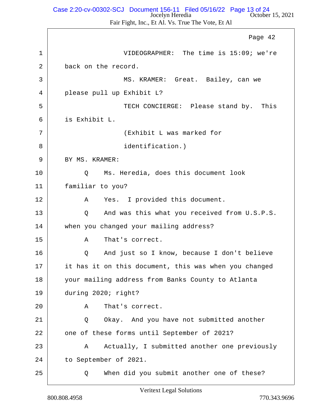#### Jocelyn Heredia **October 15, 2021** Case 2:20-cv-00302-SCJ Document 156-11 Filed 05/16/22 Page 13 of 24

Fair Fight, Inc., Et Al. Vs. True The Vote, Et Al

1 VIDEOGRAPHER: The time is 15:09; we're 2 back on the record. 3 MS. KRAMER: Great. Bailey, can we 4 please pull up Exhibit L? 5 TECH CONCIERGE: Please stand by. This 6 is Exhibit L. 7 (Exhibit L was marked for 8 | identification.) 9 BY MS. KRAMER: 10 Q Ms. Heredia, does this document look 11 familiar to you? 12 | A Yes. I provided this document. 13 Q And was this what you received from U.S.P.S. 14 when you changed your mailing address? 15 A That's correct. 16 | O And just so I know, because I don't believe 17 it has it on this document, this was when you changed 18 your mailing address from Banks County to Atlanta 19 during 2020; right? 20 A That's correct. 21 Q Okay. And you have not submitted another 22 one of these forms until September of 2021? 23 A Actually, I submitted another one previously 24 to September of 2021. 25 Q When did you submit another one of these? Page 42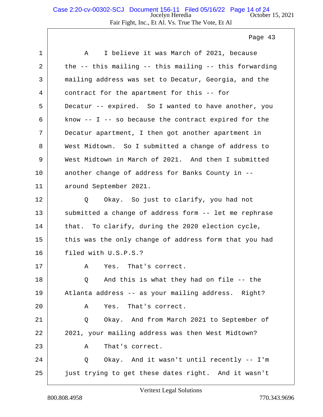### Jocelyn Heredia October 15, 2021 Fair Fight, Inc., Et Al. Vs. True The Vote, Et Al Case 2:20-cv-00302-SCJ Document 156-11 Filed 05/16/22 Page 14 of 24

Page 43

| 1  | I believe it was March of 2021, because<br>A             |
|----|----------------------------------------------------------|
| 2  | the -- this mailing -- this mailing -- this forwarding   |
| 3  | mailing address was set to Decatur, Georgia, and the     |
| 4  | contract for the apartment for this -- for               |
| 5  | Decatur -- expired. So I wanted to have another, you     |
| 6  | know $-$ - I $-$ so because the contract expired for the |
| 7  | Decatur apartment, I then got another apartment in       |
| 8  | West Midtown. So I submitted a change of address to      |
| 9  | West Midtown in March of 2021. And then I submitted      |
| 10 | another change of address for Banks County in --         |
| 11 | around September 2021.                                   |
| 12 | Okay. So just to clarify, you had not<br>Q               |
| 13 | submitted a change of address form -- let me rephrase    |
| 14 | that. To clarify, during the 2020 election cycle,        |
| 15 | this was the only change of address form that you had    |
| 16 | filed with U.S.P.S.?                                     |
| 17 | Yes. That's correct.<br>Α                                |
| 18 | Q And this is what they had on file -- the               |
| 19 | Atlanta address -- as your mailing address. Right?       |
| 20 | Yes. That's correct.<br>Α                                |
| 21 | Okay. And from March 2021 to September of<br>Q           |
| 22 | 2021, your mailing address was then West Midtown?        |
| 23 | That's correct.<br>Α                                     |
| 24 | Okay. And it wasn't until recently -- I'm<br>Q           |
| 25 | just trying to get these dates right. And it wasn't      |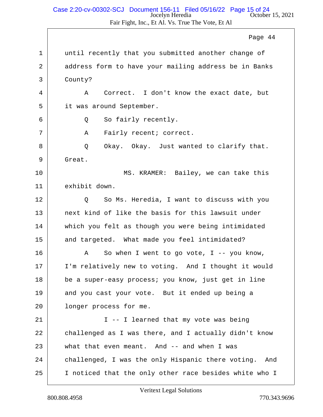## Jocelyn Heredia October 15, 2021 Case 2:20-cv-00302-SCJ Document 156-11 Filed 05/16/22 Page 15 of 24

Fair Fight, Inc., Et Al. Vs. True The Vote, Et Al

1 | until recently that you submitted another change of 2 address form to have your mailing address be in Banks 3 County? 4 A Correct. I don't know the exact date, but 5 it was around September. 6 0 So fairly recently. 7 | A Fairly recent; correct. 8 Q Okay. Okay. Just wanted to clarify that. 9 Great. 10 MS. KRAMER: Bailey, we can take this 11 exhibit down. 12 | Q So Ms. Heredia, I want to discuss with you 13 next kind of like the basis for this lawsuit under 14 which you felt as though you were being intimidated 15 and targeted. What made you feel intimidated? 16 A So when I went to go vote, I -- you know, 17 I'm relatively new to voting. And I thought it would 18 be a super-easy process; you know, just get in line 19 and you cast your vote. But it ended up being a 20 | longer process for me. 21 | The Thearned that my vote was being 22 challenged as I was there, and I actually didn't know 23 what that even meant. And -- and when I was 24 challenged, I was the only Hispanic there voting. And 25 | I noticed that the only other race besides white who I Page 44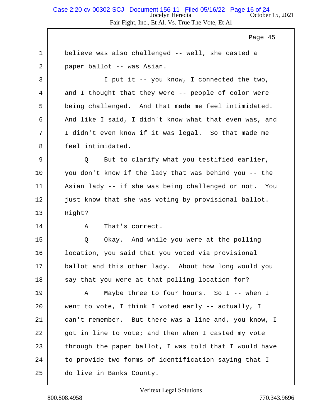#### Jocelyn Heredia October 15, 2021 Fair Fight, Inc., Et Al. Vs. True The Vote, Et Al Case 2:20-cv-00302-SCJ Document 156-11 Filed 05/16/22 Page 16 of 24

Page 45

1 believe was also challenged -- well, she casted a 2 paper ballot -- was Asian. 3 I put it -- you know, I connected the two, 4 and I thought that they were -- people of color were 5 being challenged. And that made me feel intimidated. 6 And like I said, I didn't know what that even was, and 7 I didn't even know if it was legal. So that made me 8 feel intimidated. 9 Q But to clarify what you testified earlier, 10 you don't know if the lady that was behind you -- the 11 Asian lady -- if she was being challenged or not. You 12 just know that she was voting by provisional ballot. 13 Right? 14 A That's correct. 15 Q Okay. And while you were at the polling 16 **location, you said that you voted via provisional** 17 ballot and this other lady. About how long would you  $18$  say that you were at that polling location for? 19 A Maybe three to four hours. So I -- when I 20 went to vote, I think I voted early -- actually, I 21 can't remember. But there was a line and, you know, I 22 got in line to vote; and then when I casted my vote 23 through the paper ballot, I was told that I would have 24 to provide two forms of identification saying that I 25 do live in Banks County.

Veritext Legal Solutions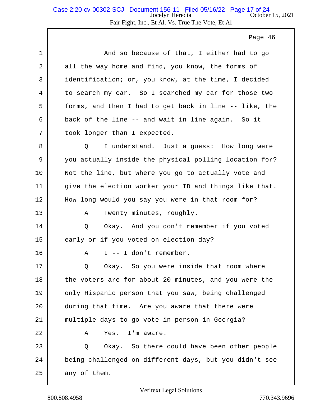1 And so because of that, I either had to go 2 all the way home and find, you know, the forms of 3 identification; or, you know, at the time, I decided 4 to search my car. So I searched my car for those two 5 forms, and then I had to get back in line -- like, the  $6$  back of the line -- and wait in line again. So it 7 | took longer than I expected. 8 | O I understand. Just a quess: How long were 9 you actually inside the physical polling location for? 10 Not the line, but where you go to actually vote and  $11$  give the election worker your ID and things like that. 12 | How long would you say you were in that room for? 13 A Twenty minutes, roughly. 14 | O Okay. And you don't remember if you voted 15 early or if you voted on election day?  $16$   $A$   $I$  --  $I$  don't remember. 17 | Q Okay. So you were inside that room where 18 the voters are for about 20 minutes, and you were the 19 only Hispanic person that you saw, being challenged 20 during that time. Are you aware that there were 21 multiple days to go vote in person in Georgia? 22 A Yes. I'm aware. 23 Q Okay. So there could have been other people 24 being challenged on different days, but you didn't see  $25$  any of them.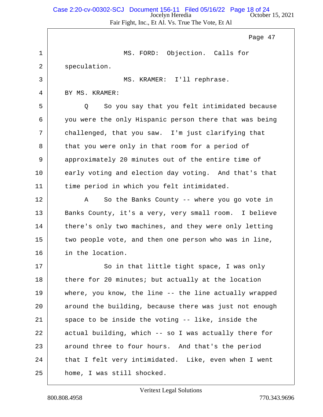#### Jocelyn Heredia October 15, 2021 Fair Fight, Inc., Et Al. Vs. True The Vote, Et Al Case 2:20-cv-00302-SCJ Document 156-11 Filed 05/16/22 Page 18 of 24

Page 47

1 MS. FORD: Objection. Calls for 2 speculation. 3 MS. KRAMER: I'll rephrase. 4 BY MS. KRAMER: 5 Q So you say that you felt intimidated because 6 you were the only Hispanic person there that was being 7 challenged, that you saw. I'm just clarifying that 8 that you were only in that room for a period of 9 | approximately 20 minutes out of the entire time of 10 early voting and election day voting. And that's that 11 time period in which you felt intimidated. 12 A So the Banks County -- where you go vote in 13 Banks County, it's a very, very small room. I believe 14 there's only two machines, and they were only letting 15 two people vote, and then one person who was in line, 16 in the location. 17 | So in that little tight space, I was only 18 there for 20 minutes; but actually at the location 19 where, you know, the line -- the line actually wrapped 20 around the building, because there was just not enough  $21$  space to be inside the voting -- like, inside the 22 actual building, which -- so I was actually there for 23 around three to four hours. And that's the period 24 that I felt very intimidated. Like, even when I went 25 home, I was still shocked.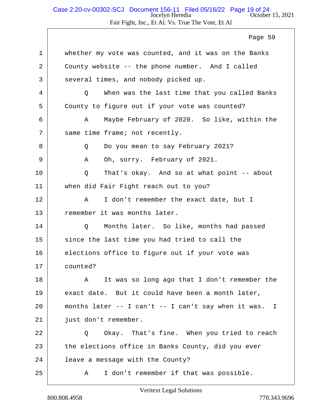# Jocelyn Heredia October 15, 2021 Case 2:20-cv-00302-SCJ Document 156-11 Filed 05/16/22 Page 19 of 24

Fair Fight, Inc., Et Al. Vs. True The Vote, Et Al

|             | Page 59                                               |
|-------------|-------------------------------------------------------|
| $\mathbf 1$ | whether my vote was counted, and it was on the Banks  |
| 2           | County website -- the phone number. And I called      |
| 3           | several times, and nobody picked up.                  |
| 4           | When was the last time that you called Banks<br>Q     |
| 5           | County to figure out if your vote was counted?        |
| 6           | Maybe February of 2020. So like, within the<br>Α      |
| 7           | same time frame; not recently.                        |
| 8           | Do you mean to say February 2021?<br>Q                |
| 9           | Oh, sorry. February of 2021.<br>Α                     |
| 10          | That's okay. And so at what point -- about<br>Q       |
| 11          | when did Fair Fight reach out to you?                 |
| 12          | I don't remember the exact date, but I<br>Α           |
| 13          | remember it was months later.                         |
| 14          | Months later. So like, months had passed<br>Q         |
| 15          | since the last time you had tried to call the         |
| 16          | elections office to figure out if your vote was       |
| 17          | counted?                                              |
| 18          | It was so long ago that I don't remember the<br>A     |
| 19          | exact date. But it could have been a month later,     |
| 20          | months later -- I can't -- I can't say when it was. I |
| 21          | just don't remember.                                  |
| 22          | Okay. That's fine. When you tried to reach<br>Q       |
| 23          | the elections office in Banks County, did you ever    |
| 24          | leave a message with the County?                      |
| 25          | I don't remember if that was possible.<br>Α           |

 $\Gamma$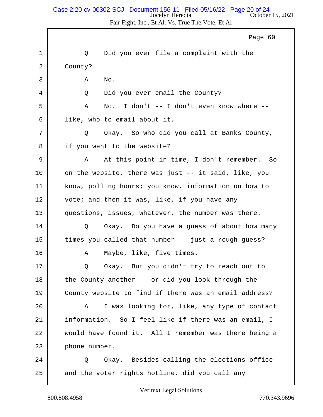### Jocelyn Heredia October 15, 2021 Case 2:20-cv-00302-SCJ Document 156-11 Filed 05/16/22 Page 20 of 24

Fair Fight, Inc., Et Al. Vs. True The Vote, Et Al

|    | Page 60                                               |
|----|-------------------------------------------------------|
| 1  | Did you ever file a complaint with the<br>Q           |
| 2  | County?                                               |
| 3  | Α<br>No.                                              |
| 4  | Did you ever email the County?<br>Q                   |
| 5  | No. I don't -- I don't even know where --<br>Α        |
| 6  | like, who to email about it.                          |
| 7  | Okay. So who did you call at Banks County,<br>Q       |
| 8  | if you went to the website?                           |
| 9  | At this point in time, I don't remember.<br>Α<br>So   |
| 10 | on the website, there was just -- it said, like, you  |
| 11 | know, polling hours; you know, information on how to  |
| 12 | vote; and then it was, like, if you have any          |
| 13 | questions, issues, whatever, the number was there.    |
| 14 | Okay. Do you have a guess of about how many<br>Q      |
| 15 | times you called that number -- just a rough guess?   |
| 16 | Maybe, like, five times.<br>Α                         |
| 17 | Okay. But you didn't try to reach out to              |
| 18 | the County another -- or did you look through the     |
| 19 | County website to find if there was an email address? |
| 20 | I was looking for, like, any type of contact<br>A     |
| 21 | information. So I feel like if there was an email, I  |
| 22 | would have found it. All I remember was there being a |
| 23 | phone number.                                         |
| 24 | Okay. Besides calling the elections office<br>Q       |
| 25 | and the voter rights hotline, did you call any        |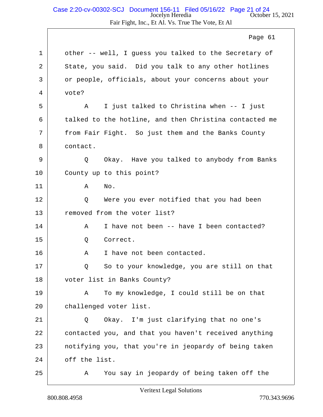### Jocelyn Heredia October 15, 2021 Fair Fight, Inc., Et Al. Vs. True The Vote, Et Al Case 2:20-cv-00302-SCJ Document 156-11 Filed 05/16/22 Page 21 of 24

Page 61

| 1       | other -- well, I guess you talked to the Secretary of  |
|---------|--------------------------------------------------------|
| 2       | State, you said. Did you talk to any other hotlines    |
| 3       | or people, officials, about your concerns about your   |
| 4       | vote?                                                  |
| 5       | I just talked to Christina when -- I just<br>Α         |
| 6       | talked to the hotline, and then Christina contacted me |
| 7       | from Fair Fight. So just them and the Banks County     |
| 8       | contact.                                               |
| 9       | Okay. Have you talked to anybody from Banks<br>Q       |
| $10 \,$ | County up to this point?                               |
| 11      | No.<br>Α                                               |
| 12      | Were you ever notified that you had been<br>Q          |
| 13      | removed from the voter list?                           |
| 14      | I have not been -- have I been contacted?<br>Α         |
| 15      | Q<br>Correct.                                          |
| 16      | I have not been contacted.<br>Α                        |
| 17      | So to your knowledge, you are still on that<br>Q       |
| 18      | voter list in Banks County?                            |
| 19      | To my knowledge, I could still be on that<br>Α         |
| 20      | challenged voter list.                                 |
| 21      | Okay. I'm just clarifying that no one's<br>Q           |
| 22      | contacted you, and that you haven't received anything  |
| 23      | notifying you, that you're in jeopardy of being taken  |
| 24      | off the list.                                          |
| 25      | You say in jeopardy of being taken off the<br>Α        |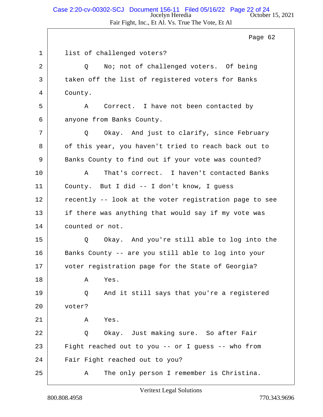1 list of challenged voters? 2 | Q No; not of challenged voters. Of being 3 taken off the list of registered voters for Banks 4 County. 5 A Correct. I have not been contacted by 6 anyone from Banks County. 7 Q Okay. And just to clarify, since February 8 of this year, you haven't tried to reach back out to 9 Banks County to find out if your vote was counted? 10 A That's correct. I haven't contacted Banks 11 County. But I did -- I don't know, I guess 12 recently -- look at the voter registration page to see 13 if there was anything that would say if my vote was 14 counted or not. 15 Q Okay. And you're still able to log into the 16 Banks County -- are you still able to log into your 17 voter registration page for the State of Georgia? 18 A Yes. 19 Q And it still says that you're a reqistered 20 voter?  $21$   $\lambda$  Yes. 22 Q Okay. Just making sure. So after Fair 23 Fight reached out to you -- or I guess -- who from 24 Fair Fight reached out to you? 25 A The only person I remember is Christina.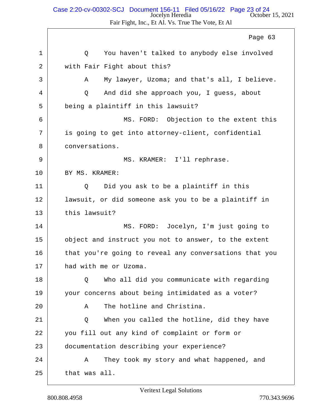## Jocelyn Heredia October 15, 2021 Case 2:20-cv-00302-SCJ Document 156-11 Filed 05/16/22 Page 23 of 24

Fair Fight, Inc., Et Al. Vs. True The Vote, Et Al

1 |  $\sim$  0 You haven't talked to anybody else involved 2 with Fair Fight about this? 3 A My lawyer, Uzoma; and that's all, I believe. 4 Q And did she approach you, I guess, about 5 being a plaintiff in this lawsuit? 6 MS. FORD: Objection to the extent this 7 is going to get into attorney-client, confidential 8 conversations. 9 MS. KRAMER: I'll rephrase. 10 BY MS. KRAMER: 11 |  $\qquad$  Q Did you ask to be a plaintiff in this 12 | lawsuit, or did someone ask you to be a plaintiff in 13 this lawsuit? 14 MS. FORD: Jocelyn, I'm just going to 15 object and instruct you not to answer, to the extent 16 that you're going to reveal any conversations that you 17 had with me or Uzoma. 18 Q Who all did you communicate with regarding 19 vour concerns about being intimidated as a voter? 20 A The hotline and Christina. 21 Q When you called the hotline, did they have 22 you fill out any kind of complaint or form or 23 documentation describing your experience? 24 A They took my story and what happened, and  $25$  that was all. Page 63